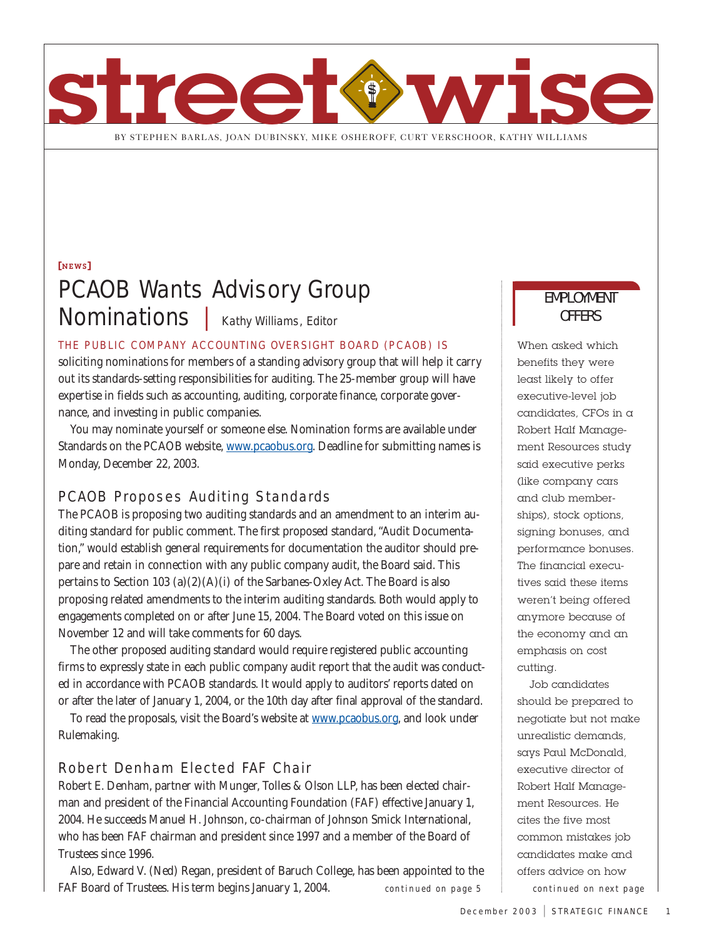

# [NEWS] PCAOB Wants Advisory Group Nominations | Kathy Williams, Editor

## THE PUBLIC COMPANY ACCOUNTING OVERSIGHT BOARD (PCAOB) IS

soliciting nominations for members of a standing advisory group that will help it carry out its standards-setting responsibilities for auditing. The 25-member group will have expertise in fields such as accounting, auditing, corporate finance, corporate governance, and investing in public companies.

You may nominate yourself or someone else. Nomination forms are available under Standards on the PCAOB website, www.pcaobus.org. Deadline for submitting names is Monday, December 22, 2003.

# PCAOB Proposes Auditing Standards

The PCAOB is proposing two auditing standards and an amendment to an interim auditing standard for public comment. The first proposed standard, "Audit Documentation," would establish general requirements for documentation the auditor should prepare and retain in connection with any public company audit, the Board said. This pertains to Section 103 (a)(2)(A)(i) of the Sarbanes-Oxley Act. The Board is also proposing related amendments to the interim auditing standards. Both would apply to engagements completed on or after June 15, 2004. The Board voted on this issue on November 12 and will take comments for 60 days.

The other proposed auditing standard would require registered public accounting firms to expressly state in each public company audit report that the audit was conducted in accordance with PCAOB standards. It would apply to auditors' reports dated on or after the later of January 1, 2004, or the 10th day after final approval of the standard.

To read the proposals, visit the Board's website at www.pcaobus.org, and look under Rulemaking.

# Robert Denham Elected FAF Chair

Robert E. Denham, partner with Munger, Tolles & Olson LLP, has been elected chairman and president of the Financial Accounting Foundation (FAF) effective January 1, 2004. He succeeds Manuel H. Johnson, co-chairman of Johnson Smick International, who has been FAF chairman and president since 1997 and a member of the Board of Trustees since 1996.

Also, Edward V. (Ned) Regan, president of Baruch College, has been appointed to the FAF Board of Trustees. His term begins January 1, 2004.

# EMPLOYMENT OFFERS

When asked which benefits they were least likely to offer executive-level job candidates, CFOs in a Robert Half Management Resources study said executive perks (like company cars and club memberships), stock options, signing bonuses, and performance bonuses. The financial executives said these items weren't being offered anymore because of the economy and an emphasis on cost cutting.

Job candidates should be prepared to negotiate but not make unrealistic demands, says Paul McDonald, executive director of Robert Half Management Resources. He cites the five most common mistakes job candidates make and offers advice on how *continued on page 5 continued on next page*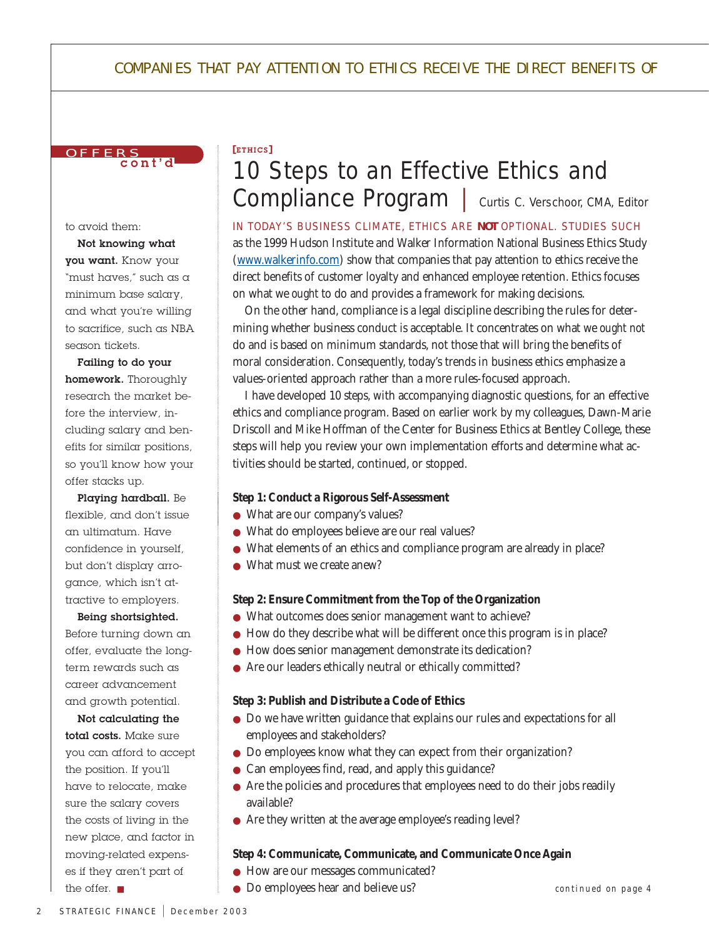# COMPANIES THAT PAY ATTENTION TO ETHICS RECEIVE THE DIRECT BENEFITS OF



to avoid them:

Not knowing what you want. Know your "must haves," such as a minimum base salary, and what you're willing to sacrifice, such as NBA season tickets.

Failing to do your homework. Thoroughly research the market before the interview, including salary and benefits for similar positions, so you'll know how your offer stacks up.

Playing hardball. Be flexible, and don't issue an ultimatum. Have confidence in yourself, but don't display arrogance, which isn't attractive to employers.

Being shortsighted. Before turning down an offer, evaluate the longterm rewards such as career advancement and growth potential.

Not calculating the total costs. Make sure you can afford to accept the position. If you'll have to relocate, make sure the salary covers the costs of living in the new place, and factor in moving-related expenses if they aren't part of

### [ETHICS ]

# 10 Steps to an Effective Ethics and Compliance Program | Curtis C. Verschoor, CMA, Editor

IN TODAY'S BUSINESS CLIMATE, ETHICS ARE *NOT* OPTIONAL. STUDIES SUCH as the 1999 Hudson Institute and Walker Information National Business Ethics Study (www.walkerinfo.com) show that companies that pay attention to ethics receive the direct benefits of customer loyalty and enhanced employee retention. Ethics focuses on what we *ought* to do and provides a framework for making decisions.

On the other hand, compliance is a legal discipline describing the rules for determining whether business conduct is acceptable. It concentrates on what we *ought not* do and is based on minimum standards, not those that will bring the benefits of moral consideration. Consequently, today's trends in business ethics emphasize a values-oriented approach rather than a more rules-focused approach.

I have developed 10 steps, with accompanying diagnostic questions, for an effective ethics and compliance program. Based on earlier work by my colleagues, Dawn-Marie Driscoll and Mike Hoffman of the Center for Business Ethics at Bentley College, these steps will help you review your own implementation efforts and determine what activities should be started, continued, or stopped.

### **Step 1: Conduct a Rigorous Self-Assessment**

- What are our company's values?
- What do employees believe are our real values?
- What elements of an ethics and compliance program are already in place?
- What must we create anew?

### **Step 2: Ensure Commitment from the Top of the Organization**

- What outcomes does senior management want to achieve?
- How do they describe what will be different once this program is in place?
- How does senior management demonstrate its dedication?
- Are our leaders ethically neutral or ethically committed?

### **Step 3: Publish and Distribute a Code of Ethics**

- Do we have written guidance that explains our rules and expectations for all employees and stakeholders?
- Do employees know what they can expect from their organization?
- Can employees find, read, and apply this guidance?
- Are the policies and procedures that employees need to do their jobs readily available?
- Are they written at the average employee's reading level?

### **Step 4: Communicate, Communicate, and Communicate Once Again**

- How are our messages communicated?
- Do employees hear and believe us? the offer. *continued on page 4*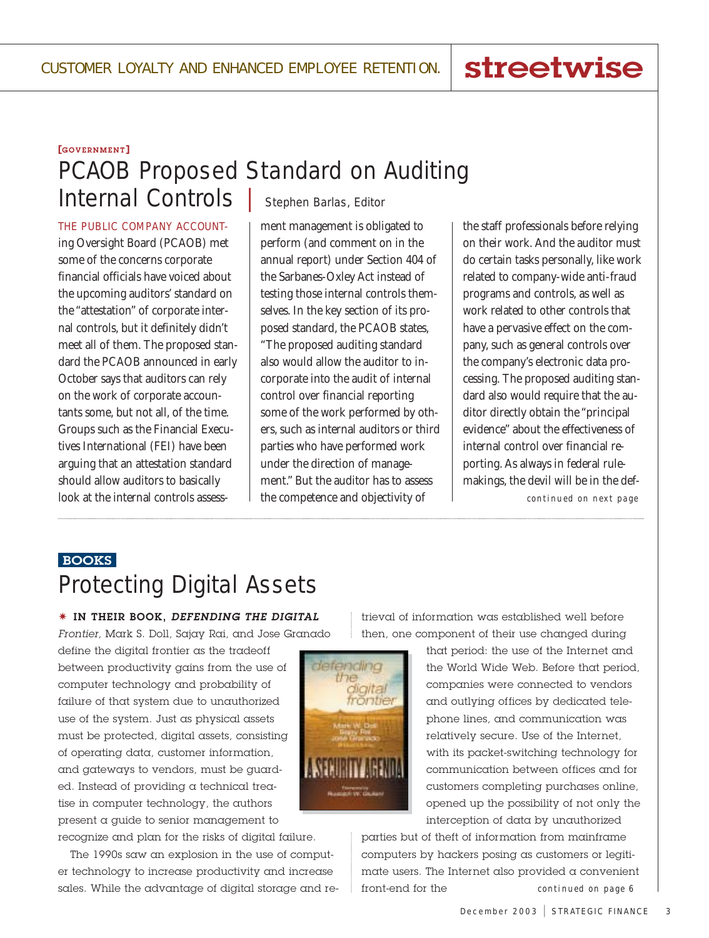# streetwise

### [GOVERNMENT]

# PCAOB Proposed Standard on Auditing

Internal Controls | Stephen Barlas, Editor

THE PUBLIC COMPANY ACCOUNTing Oversight Board (PCAOB) met some of the concerns corporate financial officials have voiced about the upcoming auditors' standard on the "attestation" of corporate internal controls, but it definitely didn't meet all of them. The proposed standard the PCAOB announced in early October says that auditors can rely on the work of corporate accountants some, but not all, of the time. Groups such as the Financial Executives International (FEI) have been arguing that an attestation standard should allow auditors to basically look at the internal controls assess-

ment management is obligated to perform (and comment on in the annual report) under Section 404 of the Sarbanes-Oxley Act instead of testing those internal controls themselves. In the key section of its proposed standard, the PCAOB states, "The proposed auditing standard also would allow the auditor to incorporate into the audit of internal control over financial reporting some of the work performed by others, such as internal auditors or third parties who have performed work under the direction of management." But the auditor has to assess the competence and objectivity of

the staff professionals before relying on their work. And the auditor must do certain tasks personally, like work related to company-wide anti-fraud programs and controls, as well as work related to other controls that have a pervasive effect on the company, such as general controls over the company's electronic data processing. The proposed auditing standard also would require that the auditor directly obtain the "principal evidence" about the effectiveness of internal control over financial reporting. As always in federal rulemakings, the devil will be in the def-

*continued on next page*

# Protecting Digital Assets BOOKS

✷ IN THEIR BOOK, *DEFENDING THE DIGITAL Frontier*, Mark S. Doll, Sajay Rai, and Jose Granado

define the digital frontier as the tradeoff between productivity gains from the use of computer technology and probability of failure of that system due to unauthorized use of the system. Just as physical assets must be protected, digital assets, consisting of operating data, customer information, and gateways to vendors, must be guarded. Instead of providing a technical treatise in computer technology, the authors present a guide to senior management to

recognize and plan for the risks of digital failure. The 1990s saw an explosion in the use of computer technology to increase productivity and increase sales. While the advantage of digital storage and retrieval of information was established well before then, one component of their use changed during



that period: the use of the Internet and the World Wide Web. Before that period, companies were connected to vendors and outlying offices by dedicated telephone lines, and communication was relatively secure. Use of the Internet, with its packet-switching technology for communication between offices and for customers completing purchases online, opened up the possibility of not only the interception of data by unauthorized

parties but of theft of information from mainframe computers by hackers posing as customers or legitimate users. The Internet also provided a convenient front-end for the *continued on page 6*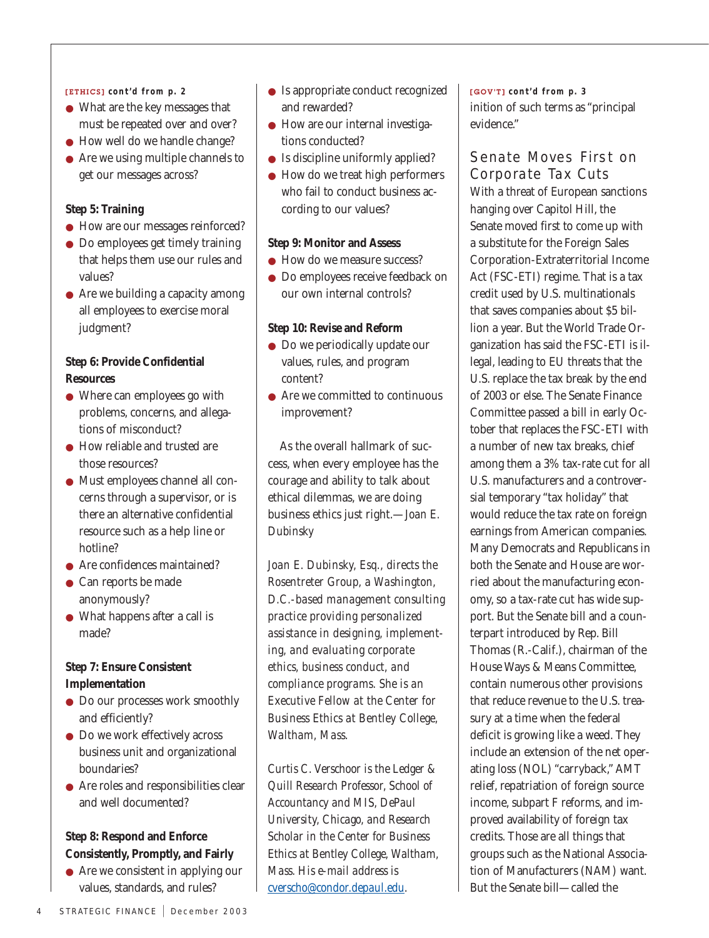### [ETHICS] *cont'd from p. 2*

- What are the key messages that must be repeated over and over?
- How well do we handle change?
- Are we using multiple channels to get our messages across?

### **Step 5: Training**

- How are our messages reinforced?
- Do employees get timely training that helps them use our rules and values?
- Are we building a capacity among all employees to exercise moral judgment?

### **Step 6: Provide Confidential Resources**

- Where can employees go with problems, concerns, and allegations of misconduct?
- How reliable and trusted are those resources?
- Must employees channel all concerns through a supervisor, or is there an alternative confidential resource such as a help line or hotline?
- Are confidences maintained?
- Can reports be made anonymously?
- What happens after a call is made?

## **Step 7: Ensure Consistent Implementation**

- Do our processes work smoothly and efficiently?
- Do we work effectively across business unit and organizational boundaries?
- Are roles and responsibilities clear and well documented?

# **Step 8: Respond and Enforce Consistently, Promptly, and Fairly**

● Are we consistent in applying our values, standards, and rules?

- Is appropriate conduct recognized and rewarded?
- How are our internal investigations conducted?
- Is discipline uniformly applied?
- How do we treat high performers who fail to conduct business according to our values?

### **Step 9: Monitor and Assess**

- How do we measure success?
- Do employees receive feedback on our own internal controls?

### **Step 10: Revise and Reform**

- Do we periodically update our values, rules, and program content?
- $\bullet\,$  Are we committed to continuous improvement?

As the overall hallmark of success, when every employee has the courage and ability to talk about ethical dilemmas, we are doing business ethics just right.—*Joan E. Dubinsky*

*Joan E. Dubinsky, Esq., directs the Rosentreter Group, a Washington, D.C.-based management consulting practice providing personalized assistance in designing, implementing, and evaluating corporate ethics, business conduct, and compliance programs. She is an Executive Fellow at the Center for Business Ethics at Bentley College, Waltham, Mass.*

*Curtis C. Verschoor is the Ledger & Quill Research Professor, School of Accountancy and MIS, DePaul University, Chicago, and Research Scholar in the Center for Business Ethics at Bentley College, Waltham, Mass. His e-mail address is cverscho@condor.depaul.edu.*

inition of such terms as "principal evidence" [GOV'T] *cont'd from p. 3*

Senate Moves First on Corporate Tax Cuts With a threat of European sanctions hanging over Capitol Hill, the Senate moved first to come up with a substitute for the Foreign Sales Corporation-Extraterritorial Income Act (FSC-ETI) regime. That is a tax credit used by U.S. multinationals that saves companies about \$5 billion a year. But the World Trade Organization has said the FSC-ETI is illegal, leading to EU threats that the U.S. replace the tax break by the end of 2003 or else. The Senate Finance Committee passed a bill in early October that replaces the FSC-ETI with a number of new tax breaks, chief among them a 3% tax-rate cut for all U.S. manufacturers and a controversial temporary "tax holiday" that would reduce the tax rate on foreign earnings from American companies. Many Democrats and Republicans in both the Senate and House are worried about the manufacturing economy, so a tax-rate cut has wide support. But the Senate bill and a counterpart introduced by Rep. Bill Thomas (R.-Calif.), chairman of the House Ways & Means Committee, contain numerous other provisions that reduce revenue to the U.S. treasury at a time when the federal deficit is growing like a weed. They include an extension of the net operating loss (NOL) "carryback," AMT relief, repatriation of foreign source income, subpart F reforms, and improved availability of foreign tax credits. Those are all things that groups such as the National Association of Manufacturers (NAM) want. But the Senate bill—called the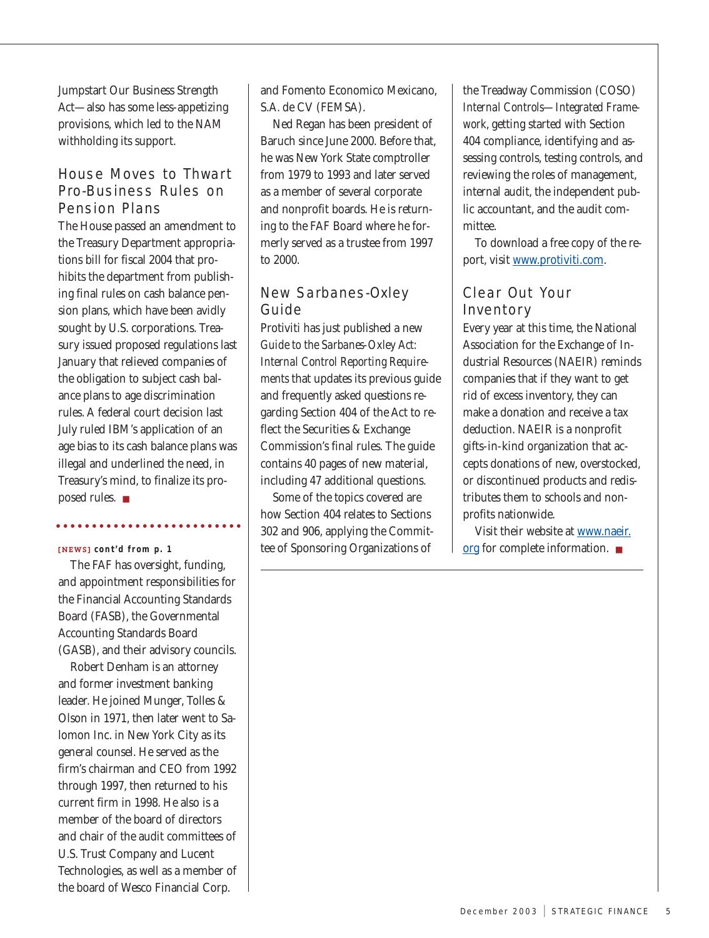Jumpstart Our Business Strength Act—also has some less-appetizing provisions, which led to the NAM withholding its support.

# House Moves to Thwart Pro-Business Rules on Pension Plans

The House passed an amendment to the Treasury Department appropriations bill for fiscal 2004 that prohibits the department from publishing final rules on cash balance pension plans, which have been avidly sought by U.S. corporations. Treasury issued proposed regulations last January that relieved companies of the obligation to subject cash balance plans to age discrimination rules. A federal court decision last July ruled IBM's application of an age bias to its cash balance plans was illegal and underlined the need, in Treasury's mind, to finalize its proposed rules. ■

### [NEWS] *cont'd from p. 1*

The FAF has oversight, funding, and appointment responsibilities for the Financial Accounting Standards Board (FASB), the Governmental Accounting Standards Board (GASB), and their advisory councils.

Robert Denham is an attorney and former investment banking leader. He joined Munger, Tolles & Olson in 1971, then later went to Salomon Inc. in New York City as its general counsel. He served as the firm's chairman and CEO from 1992 through 1997, then returned to his current firm in 1998. He also is a member of the board of directors and chair of the audit committees of U.S. Trust Company and Lucent Technologies, as well as a member of the board of Wesco Financial Corp.

and Fomento Economico Mexicano, S.A. de CV (FEMSA).

Ned Regan has been president of Baruch since June 2000. Before that, he was New York State comptroller from 1979 to 1993 and later served as a member of several corporate and nonprofit boards. He is returning to the FAF Board where he formerly served as a trustee from 1997 to 2000.

# New Sarbanes-Oxley Guide

Protiviti has just published a new *Guide to the Sarbanes-Oxley Act: Internal Control Reporting Requirements* that updates its previous guide and frequently asked questions regarding Section 404 of the Act to reflect the Securities & Exchange Commission's final rules. The guide contains 40 pages of new material, including 47 additional questions.

Some of the topics covered are how Section 404 relates to Sections 302 and 906, applying the Committee of Sponsoring Organizations of

the Treadway Commission (COSO) *Internal Controls—Integrated Framework*, getting started with Section 404 compliance, identifying and assessing controls, testing controls, and reviewing the roles of management, internal audit, the independent public accountant, and the audit committee.

To download a free copy of the report, visit www.protiviti.com.

# Clear Out Your Inventory

Every year at this time, the National Association for the Exchange of Industrial Resources (NAEIR) reminds companies that if they want to get rid of excess inventory, they can make a donation and receive a tax deduction. NAEIR is a nonprofit gifts-in-kind organization that accepts donations of new, overstocked, or discontinued products and redistributes them to schools and nonprofits nationwide.

Visit their website at www.naeir. org for complete information. ■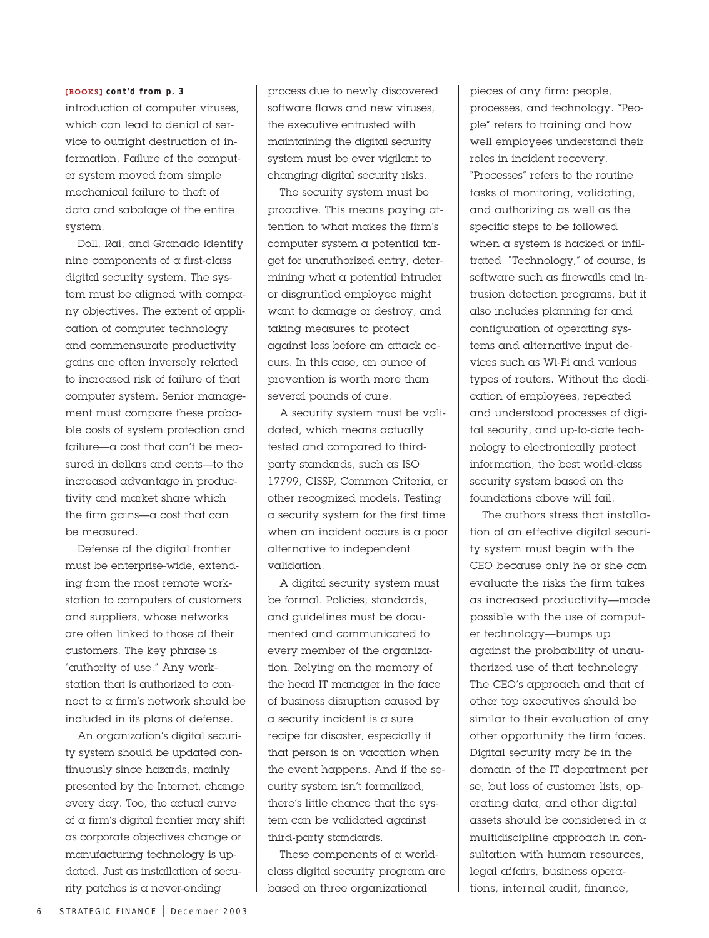#### [BOOKS] *cont'd from p. 3*

introduction of computer viruses, which can lead to denial of service to outright destruction of information. Failure of the computer system moved from simple mechanical failure to theft of data and sabotage of the entire system.

Doll, Rai, and Granado identify nine components of a first-class digital security system. The system must be aligned with company objectives. The extent of application of computer technology and commensurate productivity gains are often inversely related to increased risk of failure of that computer system. Senior management must compare these probable costs of system protection and failure—a cost that can't be measured in dollars and cents—to the increased advantage in productivity and market share which the firm gains— $\alpha$  cost that can be measured.

Defense of the digital frontier must be enterprise-wide, extending from the most remote workstation to computers of customers and suppliers, whose networks are often linked to those of their customers. The key phrase is "authority of use." Any workstation that is authorized to connect to a firm's network should be included in its plans of defense.

An organization's digital security system should be updated continuously since hazards, mainly presented by the Internet, change every day. Too, the actual curve of a firm's digital frontier may shift as corporate objectives change or manufacturing technology is updated. Just as installation of security patches is a never-ending

process due to newly discovered software flaws and new viruses, the executive entrusted with maintaining the digital security system must be ever vigilant to changing digital security risks.

The security system must be proactive. This means paying attention to what makes the firm's computer system a potential target for unauthorized entry, determining what a potential intruder or disgruntled employee might want to damage or destroy, and taking measures to protect against loss before an attack occurs. In this case, an ounce of prevention is worth more than several pounds of cure.

A security system must be validated, which means actually tested and compared to thirdparty standards, such as ISO 17799, CISSP, Common Criteria, or other recognized models. Testing a security system for the first time when an incident occurs is a poor alternative to independent validation.

A digital security system must be formal. Policies, standards, and guidelines must be documented and communicated to every member of the organization. Relying on the memory of the head IT manager in the face of business disruption caused by a security incident is a sure recipe for disaster, especially if that person is on vacation when the event happens. And if the security system isn't formalized, there's little chance that the system can be validated against third-party standards.

These components of a worldclass digital security program are based on three organizational

pieces of any firm: people, processes, and technology. "People" refers to training and how well employees understand their roles in incident recovery. "Processes" refers to the routine tasks of monitoring, validating, and authorizing as well as the specific steps to be followed when a system is hacked or infiltrated. "Technology," of course, is software such as firewalls and intrusion detection programs, but it also includes planning for and configuration of operating systems and alternative input devices such as Wi-Fi and various types of routers. Without the dedication of employees, repeated and understood processes of digital security, and up-to-date technology to electronically protect information, the best world-class security system based on the foundations above will fail.

The authors stress that installation of an effective digital security system must begin with the CEO because only he or she can evaluate the risks the firm takes as increased productivity—made possible with the use of computer technology—bumps up against the probability of unauthorized use of that technology. The CEO's approach and that of other top executives should be similar to their evaluation of any other opportunity the firm faces. Digital security may be in the domain of the IT department per se, but loss of customer lists, operating data, and other digital assets should be considered in a multidiscipline approach in consultation with human resources, legal affairs, business operations, internal audit, finance,